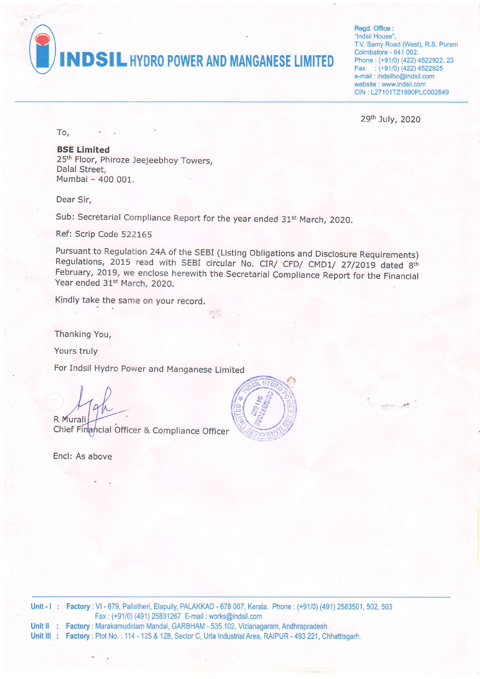

Regd. Office : 'lndsil House', T.V. Samy Road (West), R.S. Puram Coimbatore - 641 002. Phone: (+91/0) (422) 4522922, 23 Fax  $:(+91/0)$  (422) 4522925 e-mail : jndsilho@indsil.com website : www.indsil.com CIN : L27101TZ1990PLC002849

29th July, 2O2O

To'

BSE Limited 25<sup>th</sup> Floor, Phiroze Jeejeebhoy Towers, Dalal Street, Mumbai - 400 001.

Dear Sir.

Sub: Secretarial Compliance Report for the year ended 31<sup>st</sup> March, 2020.

Ref: Scrip Code 522165

Pursuant to Regulation 24A of the SEBI (Listing Obligations and Disclosure Requirements)<br>Regulations, 2015 read with SEBI circular No. CIR/ CFD/ CMD1/ 27/2019 dated 8<sup>th</sup> February, 2019, we enclose herewith the Secretarial Compliance Report for the Financial Year ended 31<sup>st</sup> March, 2020.

Kindly take the same on your record,

Thanking You,

Yours truly

For Indsil Hydro Power and Manganese Limited

R Murali

Chief Financial Officer & Compliance Officer

Encl: As above



**Unit - I : Factory :** VI - 679, Pallatheri, Elapully, PALAKKAD - 678 007, Kerala. Phone : (+91/0) (491) 2583501, 502, 503 Unit II : Factory : Marakamudidam Mandal, GARBHAM - 535 102, Vizianagaram, Andhrapradesh Unit III : Factory : Plot No. : 114 - 125 & 128, Sector C, Urla Industrial Area, RAIPUR - 493 221, Chhattisgarh Fax : (+91/0) (491)25831267 E-mail : works@indsil.com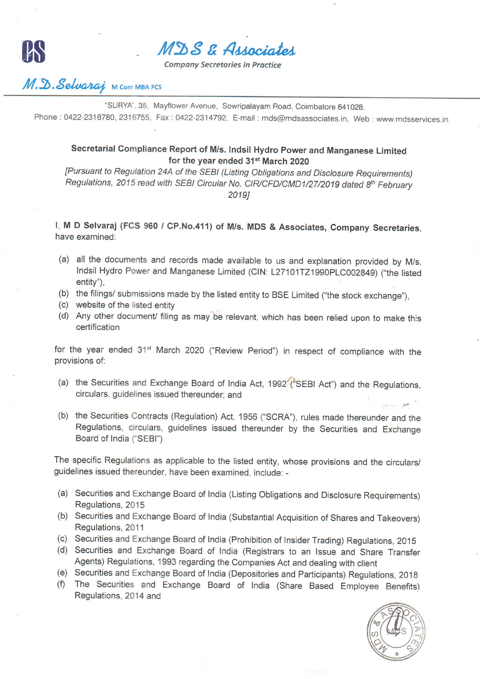

MDS & Associates

Company Secretaries in Practice

## $M.\mathfrak{D}.\mathcal{S}elvaraj$  M Com MBA FCS

"SURYA", 35, Mayflower Avenue, Sowripalayam Road, Coimbatore 641028.

Phone : 0422-2318780, 2316755, Fax : 0422-2314792, E-mail : mds@mdsassociates.in, Web : www.mdsservices.in

## secretarial compliance Report of M/s. Indsil Hydro power and Manganese Limited for the year ended 31<sup>st</sup> March 2020

[Pursuant to Regulation 24A of the sEBl (Listing obligations and Disclosure Requirements) Regulations, 2015 read with SEBI Circular No. CIR/CFD/CMD1/27/2019 dated 8<sup>th</sup> February 20191

l, M D selvarai (Fcs 960 / cP.No.411) of M/s. MDS & Associates, company secretaries, have examined:

- (a) all the documents and records made available to us and explanation provided by M/s. Indsil Hydro Power and Manganese Limited (CIN: L27101TZ1990PLC002849) ("the listed entity"),
- (b) the filings/ submissions made by the listed entity to BSE Limited ("the stock exchange")
- website of the listed entity (c)
- (d) Any other document/ filing as may be relevant, which has been relied upon to make this certification

for the year ended 31<sup>st</sup> March 2020 ("Review Period") in respect of compliance with the provisions of:

- (a) the Securities and Exchange Board of India Act, 1992 ("SEBI Act") and the Regulations, circulars, guidelines issued thereunder; and
- (b) the securities contracts (Regulation) Act, 1956 ('scRA'), rules made thereunder and the Regulations, circulars, guidelines issued thereunder by the securities and Exchange Board of India ("SEBl")

The specific Regulations as applicable to the listed entity, whose provisions and the circulars/ guidelines issued thereunder, have been examined, include: -

- (a) Securities and Exchange Board of India (Listing Obligations and Disclosure Requirements) Regulations, 2015
- (b) Securities and Exchange Board of India (Substantial Acquisition of Shares and Takeovers) Regulations, 2011
- (c) securities and Exchange Board of India (prohibition of lnsider Trading) Regulations, 2o1s
- (d) securities and Exchange Board of India (Registrars to an lssue and Share Transfer Agents) Regulations, 1993 regarding the Companies Act and dealing with client
- 
- (e) securities and Exchange Board of India (Depositories and participants) Regulations, 201g (f) The securities and Exchange Board of India (share Based Employee Benefits) Regulations, 2014 and